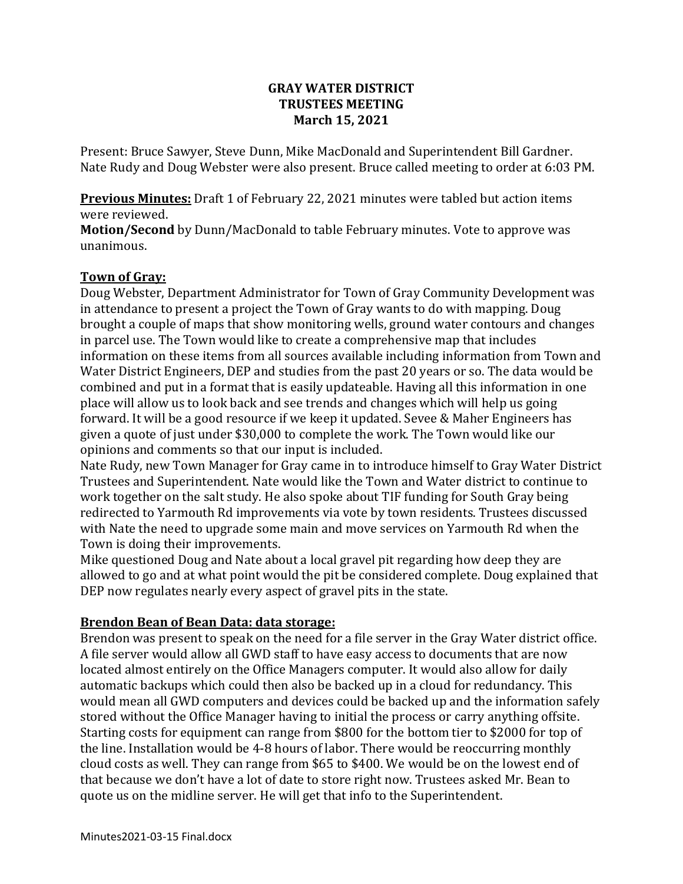### **GRAY WATER DISTRICT TRUSTEES MEETING March 15, 2021**

Present: Bruce Sawyer, Steve Dunn, Mike MacDonald and Superintendent Bill Gardner. Nate Rudy and Doug Webster were also present. Bruce called meeting to order at 6:03 PM.

**Previous Minutes:** Draft 1 of February 22, 2021 minutes were tabled but action items were reviewed.

**Motion/Second** by Dunn/MacDonald to table February minutes. Vote to approve was unanimous.

### **Town of Gray:**

Doug Webster, Department Administrator for Town of Gray Community Development was in attendance to present a project the Town of Gray wants to do with mapping. Doug brought a couple of maps that show monitoring wells, ground water contours and changes in parcel use. The Town would like to create a comprehensive map that includes information on these items from all sources available including information from Town and Water District Engineers, DEP and studies from the past 20 years or so. The data would be combined and put in a format that is easily updateable. Having all this information in one place will allow us to look back and see trends and changes which will help us going forward. It will be a good resource if we keep it updated. Sevee & Maher Engineers has given a quote of just under \$30,000 to complete the work. The Town would like our opinions and comments so that our input is included.

Nate Rudy, new Town Manager for Gray came in to introduce himself to Gray Water District Trustees and Superintendent. Nate would like the Town and Water district to continue to work together on the salt study. He also spoke about TIF funding for South Gray being redirected to Yarmouth Rd improvements via vote by town residents. Trustees discussed with Nate the need to upgrade some main and move services on Yarmouth Rd when the Town is doing their improvements.

Mike questioned Doug and Nate about a local gravel pit regarding how deep they are allowed to go and at what point would the pit be considered complete. Doug explained that DEP now regulates nearly every aspect of gravel pits in the state.

### **Brendon Bean of Bean Data: data storage:**

Brendon was present to speak on the need for a file server in the Gray Water district office. A file server would allow all GWD staff to have easy access to documents that are now located almost entirely on the Office Managers computer. It would also allow for daily automatic backups which could then also be backed up in a cloud for redundancy. This would mean all GWD computers and devices could be backed up and the information safely stored without the Office Manager having to initial the process or carry anything offsite. Starting costs for equipment can range from \$800 for the bottom tier to \$2000 for top of the line. Installation would be 4-8 hours of labor. There would be reoccurring monthly cloud costs as well. They can range from \$65 to \$400. We would be on the lowest end of that because we don't have a lot of date to store right now. Trustees asked Mr. Bean to quote us on the midline server. He will get that info to the Superintendent.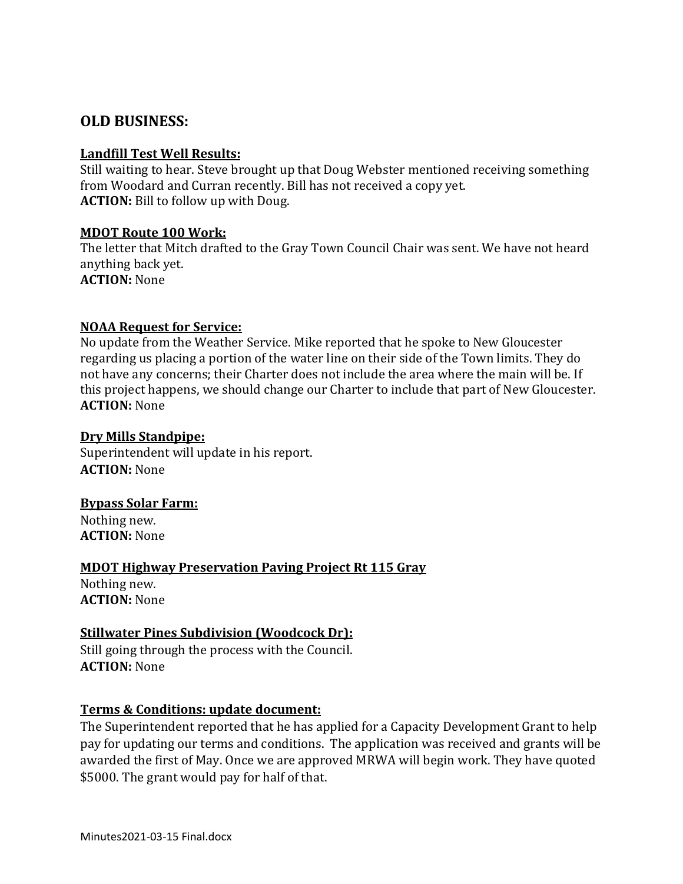# **OLD BUSINESS:**

#### **Landfill Test Well Results:**

Still waiting to hear. Steve brought up that Doug Webster mentioned receiving something from Woodard and Curran recently. Bill has not received a copy yet. **ACTION:** Bill to follow up with Doug.

#### **MDOT Route 100 Work:**

The letter that Mitch drafted to the Gray Town Council Chair was sent. We have not heard anything back yet. **ACTION:** None

### **NOAA Request for Service:**

No update from the Weather Service. Mike reported that he spoke to New Gloucester regarding us placing a portion of the water line on their side of the Town limits. They do not have any concerns; their Charter does not include the area where the main will be. If this project happens, we should change our Charter to include that part of New Gloucester. **ACTION:** None

### **Dry Mills Standpipe:**

Superintendent will update in his report. **ACTION:** None

### **Bypass Solar Farm:**

Nothing new. **ACTION:** None

### **MDOT Highway Preservation Paving Project Rt 115 Gray**

Nothing new. **ACTION:** None

### **Stillwater Pines Subdivision (Woodcock Dr):**

Still going through the process with the Council. **ACTION:** None

### **Terms & Conditions: update document:**

The Superintendent reported that he has applied for a Capacity Development Grant to help pay for updating our terms and conditions. The application was received and grants will be awarded the first of May. Once we are approved MRWA will begin work. They have quoted \$5000. The grant would pay for half of that.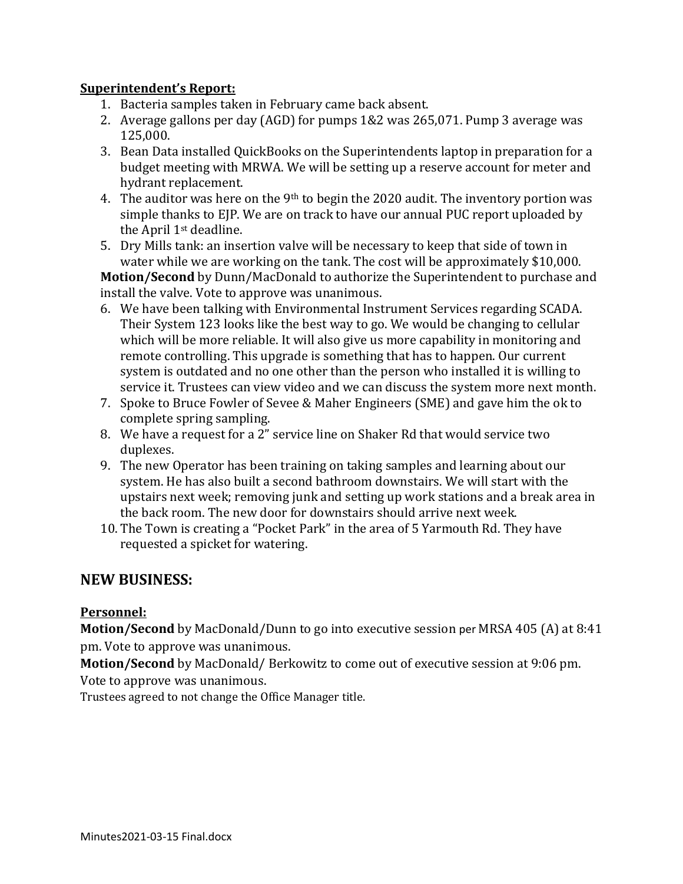### **Superintendent's Report:**

- 1. Bacteria samples taken in February came back absent.
- 2. Average gallons per day (AGD) for pumps 1&2 was 265,071. Pump 3 average was 125,000.
- 3. Bean Data installed QuickBooks on the Superintendents laptop in preparation for a budget meeting with MRWA. We will be setting up a reserve account for meter and hydrant replacement.
- 4. The auditor was here on the 9<sup>th</sup> to begin the 2020 audit. The inventory portion was simple thanks to EJP. We are on track to have our annual PUC report uploaded by the April 1st deadline.
- 5. Dry Mills tank: an insertion valve will be necessary to keep that side of town in water while we are working on the tank. The cost will be approximately \$10,000.

**Motion/Second** by Dunn/MacDonald to authorize the Superintendent to purchase and install the valve. Vote to approve was unanimous.

- 6. We have been talking with Environmental Instrument Services regarding SCADA. Their System 123 looks like the best way to go. We would be changing to cellular which will be more reliable. It will also give us more capability in monitoring and remote controlling. This upgrade is something that has to happen. Our current system is outdated and no one other than the person who installed it is willing to service it. Trustees can view video and we can discuss the system more next month.
- 7. Spoke to Bruce Fowler of Sevee & Maher Engineers (SME) and gave him the ok to complete spring sampling.
- 8. We have a request for a 2" service line on Shaker Rd that would service two duplexes.
- 9. The new Operator has been training on taking samples and learning about our system. He has also built a second bathroom downstairs. We will start with the upstairs next week; removing junk and setting up work stations and a break area in the back room. The new door for downstairs should arrive next week.
- 10. The Town is creating a "Pocket Park" in the area of 5 Yarmouth Rd. They have requested a spicket for watering.

# **NEW BUSINESS:**

### **Personnel:**

**Motion/Second** by MacDonald/Dunn to go into executive session per MRSA 405 (A) at 8:41 pm. Vote to approve was unanimous.

**Motion/Second** by MacDonald/ Berkowitz to come out of executive session at 9:06 pm. Vote to approve was unanimous.

Trustees agreed to not change the Office Manager title.